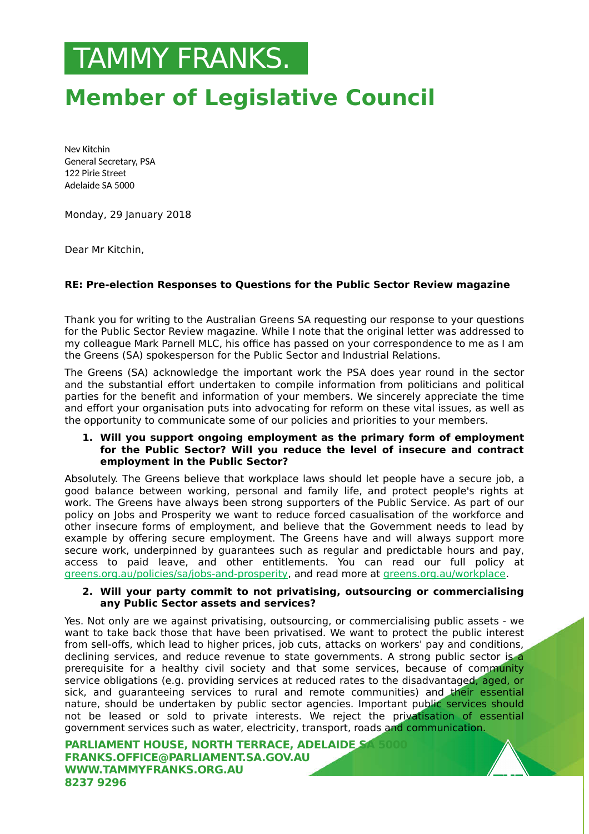# .TAMMY FRANKS.

# **Member of Legislative Council**

Nev Kitchin General Secretary, PSA 122 Pirie Street Adelaide SA 5000

Monday, 29 January 2018

Dear Mr Kitchin,

## **RE: Pre-election Responses to Questions for the Public Sector Review magazine**

Thank you for writing to the Australian Greens SA requesting our response to your questions for the Public Sector Review magazine. While I note that the original letter was addressed to my colleague Mark Parnell MLC, his office has passed on your correspondence to me as I am the Greens (SA) spokesperson for the Public Sector and Industrial Relations.

The Greens (SA) acknowledge the important work the PSA does year round in the sector and the substantial effort undertaken to compile information from politicians and political parties for the benefit and information of your members. We sincerely appreciate the time and effort your organisation puts into advocating for reform on these vital issues, as well as the opportunity to communicate some of our policies and priorities to your members.

#### **1. Will you support ongoing employment as the primary form of employment for the Public Sector? Will you reduce the level of insecure and contract employment in the Public Sector?**

Absolutely. The Greens believe that workplace laws should let people have a secure job, a good balance between working, personal and family life, and protect people's rights at work. The Greens have always been strong supporters of the Public Service. As part of our policy on Jobs and Prosperity we want to reduce forced casualisation of the workforce and other insecure forms of employment, and believe that the Government needs to lead by example by offering secure employment. The Greens have and will always support more secure work, underpinned by guarantees such as regular and predictable hours and pay, access to paid leave, and other entitlements. You can read our full policy at greens.org.au/policies/sa/jobs-and-prosperity, and read more at greens.org.au/workplace.

#### **2. Will your party commit to not privatising, outsourcing or commercialising any Public Sector assets and services?**

Yes. Not only are we against privatising, outsourcing, or commercialising public assets - we want to take back those that have been privatised. We want to protect the public interest from sell-offs, which lead to higher prices, job cuts, attacks on workers' pay and conditions, declining services, and reduce revenue to state governments. A strong public sector is a prerequisite for a healthy civil society and that some services, because of community service obligations (e.g. providing services at reduced rates to the disadvantaged, aged, or sick, and guaranteeing services to rural and remote communities) and their essential nature, should be undertaken by public sector agencies. Important public services should not be leased or sold to private interests. We reject the privatisation of essential government services such as water, electricity, transport, roads and communication.

**PARLIAMENT HOUSE, NORTH TERRACE, ADELAIDE S FRANKS.OFFICE@PARLIAMENT.SA.GOV.AU WWW.TAMMYFRANKS.ORG.AU 8237 9296**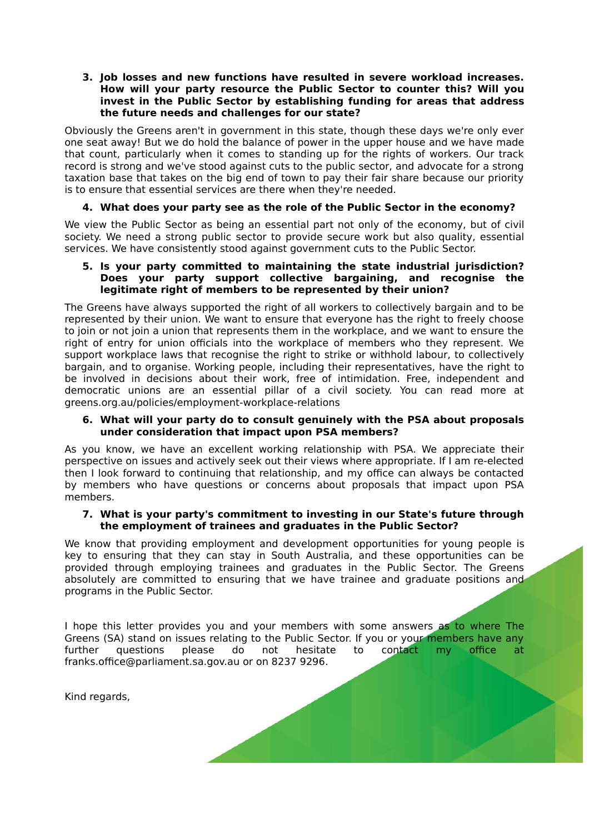#### **3. Job losses and new functions have resulted in severe workload increases. How will your party resource the Public Sector to counter this? Will you invest in the Public Sector by establishing funding for areas that address the future needs and challenges for our state?**

Obviously the Greens aren't in government in this state, though these days we're only ever one seat away! But we do hold the balance of power in the upper house and we have made that count, particularly when it comes to standing up for the rights of workers. Our track record is strong and we've stood against cuts to the public sector, and advocate for a strong taxation base that takes on the big end of town to pay their fair share because our priority is to ensure that essential services are there when they're needed.

### **4. What does your party see as the role of the Public Sector in the economy?**

We view the Public Sector as being an essential part not only of the economy, but of civil society. We need a strong public sector to provide secure work but also quality, essential services. We have consistently stood against government cuts to the Public Sector.

#### **5. Is your party committed to maintaining the state industrial jurisdiction? Does your party support collective bargaining, and recognise the legitimate right of members to be represented by their union?**

The Greens have always supported the right of all workers to collectively bargain and to be represented by their union. We want to ensure that everyone has the right to freely choose to join or not join a union that represents them in the workplace, and we want to ensure the right of entry for union officials into the workplace of members who they represent. We support workplace laws that recognise the right to strike or withhold labour, to collectively bargain, and to organise. Working people, including their representatives, have the right to be involved in decisions about their work, free of intimidation. Free, independent and democratic unions are an essential pillar of a civil society. You can read more at greens.org.au/policies/employment-workplace-relations

#### **6. What will your party do to consult genuinely with the PSA about proposals under consideration that impact upon PSA members?**

As you know, we have an excellent working relationship with PSA. We appreciate their perspective on issues and actively seek out their views where appropriate. If I am re-elected then I look forward to continuing that relationship, and my office can always be contacted by members who have questions or concerns about proposals that impact upon PSA members.

#### **7. What is your party's commitment to investing in our State's future through the employment of trainees and graduates in the Public Sector?**

We know that providing employment and development opportunities for young people is key to ensuring that they can stay in South Australia, and these opportunities can be provided through employing trainees and graduates in the Public Sector. The Greens absolutely are committed to ensuring that we have trainee and graduate positions and programs in the Public Sector.

I hope this letter provides you and your members with some answers as to where The Greens (SA) stand on issues relating to the Public Sector. If you or your members have any further questions please do not hesitate to contact my office at franks.office@parliament.sa.gov.au or on 8237 9296.

Kind regards,